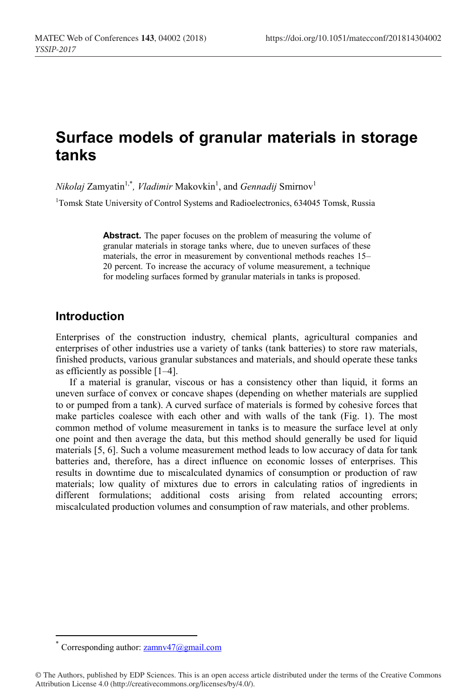# **Surface models of granular materials in storage tanks**

 $Nikolaj Zamyatin<sup>1,*</sup>$ , *Vladimir* Makovkin<sup>1</sup>, and *Gennadij* Smirnov<sup>1</sup>

<sup>1</sup>Tomsk State University of Control Systems and Radioelectronics, 634045 Tomsk, Russia

Abstract. The paper focuses on the problem of measuring the volume of granular materials in storage tanks where, due to uneven surfaces of these materials, the error in measurement by conventional methods reaches 15– 20 percent. To increase the accuracy of volume measurement, a technique for modeling surfaces formed by granular materials in tanks is proposed.

## **Introduction**

Enterprises of the construction industry, chemical plants, agricultural companies and enterprises of other industries use a variety of tanks (tank batteries) to store raw materials, finished products, various granular substances and materials, and should operate these tanks as efficiently as possible [1–4].

If a material is granular, viscous or has a consistency other than liquid, it forms an uneven surface of convex or concave shapes (depending on whether materials are supplied to or pumped from a tank). A curved surface of materials is formed by cohesive forces that make particles coalesce with each other and with walls of the tank (Fig. 1). The most common method of volume measurement in tanks is to measure the surface level at only one point and then average the data, but this method should generally be used for liquid materials [5, 6]. Such a volume measurement method leads to low accuracy of data for tank batteries and, therefore, has a direct influence on economic losses of enterprises. This results in downtime due to miscalculated dynamics of consumption or production of raw materials; low quality of mixtures due to errors in calculating ratios of ingredients in different formulations; additional costs arising from related accounting errors; miscalculated production volumes and consumption of raw materials, and other problems.

Corresponding author: <u>zamnv47@gmail.com</u>

<sup>©</sup> The Authors, published by EDP Sciences. This is an open access article distributed under the terms of the Creative Commons Attribution License 4.0 (http://creativecommons.org/licenses/by/4.0/).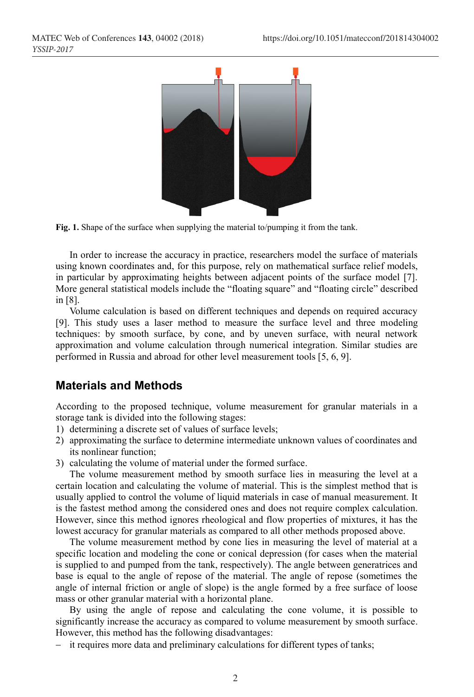



In order to increase the accuracy in practice, researchers model the surface of materials using known coordinates and, for this purpose, rely on mathematical surface relief models, in particular by approximating heights between adjacent points of the surface model [7]. More general statistical models include the "floating square" and "floating circle" described in [8].

Volume calculation is based on different techniques and depends on required accuracy [9]. This study uses a laser method to measure the surface level and three modeling techniques: by smooth surface, by cone, and by uneven surface, with neural network approximation and volume calculation through numerical integration. Similar studies are performed in Russia and abroad for other level measurement tools [5, 6, 9].

## **Materials and Methods**

According to the proposed technique, volume measurement for granular materials in a storage tank is divided into the following stages:

- 1) determining a discrete set of values of surface levels;
- 2) approximating the surface to determine intermediate unknown values of coordinates and its nonlinear function;
- 3) calculating the volume of material under the formed surface.

The volume measurement method by smooth surface lies in measuring the level at a certain location and calculating the volume of material. This is the simplest method that is usually applied to control the volume of liquid materials in case of manual measurement. It is the fastest method among the considered ones and does not require complex calculation. However, since this method ignores rheological and flow properties of mixtures, it has the lowest accuracy for granular materials as compared to all other methods proposed above.

The volume measurement method by cone lies in measuring the level of material at a specific location and modeling the cone or conical depression (for cases when the material is supplied to and pumped from the tank, respectively). The angle between generatrices and base is equal to the angle of repose of the material. The angle of repose (sometimes the angle of internal friction or angle of slope) is the angle formed by a free surface of loose mass or other granular material with a horizontal plane.

By using the angle of repose and calculating the cone volume, it is possible to significantly increase the accuracy as compared to volume measurement by smooth surface. However, this method has the following disadvantages:

- it requires more data and preliminary calculations for different types of tanks;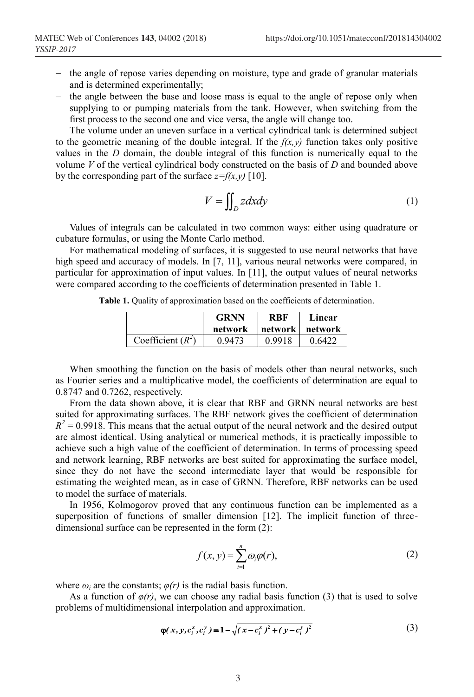- $-$  the angle of repose varies depending on moisture, type and grade of granular materials and is determined experimentally;
- $-$  the angle between the base and loose mass is equal to the angle of repose only when supplying to or pumping materials from the tank. However, when switching from the first process to the second one and vice versa, the angle will change too.

The volume under an uneven surface in a vertical cylindrical tank is determined subject to the geometric meaning of the double integral. If the  $f(x, y)$  function takes only positive values in the *D* domain, the double integral of this function is numerically equal to the volume *V* of the vertical cylindrical body constructed on the basis of *D* and bounded above by the corresponding part of the surface  $z=f(x,y)$  [10].

$$
V = \iint_D z \, dx \, dy \tag{1}
$$

Values of integrals can be calculated in two common ways: either using quadrature or cubature formulas, or using the Monte Carlo method.

For mathematical modeling of surfaces, it is suggested to use neural networks that have high speed and accuracy of models. In [7, 11], various neural networks were compared, in particular for approximation of input values. In [11], the output values of neural networks were compared according to the coefficients of determination presented in Table 1.

**Table 1.** Quality of approximation based on the coefficients of determination.

|                     | <b>GRNN</b> | <b>RBF</b> |         |
|---------------------|-------------|------------|---------|
|                     | network     | network    | network |
| Coefficient $(R^2)$ | 0.9473      | 0.9918     | 0.6422  |

When smoothing the function on the basis of models other than neural networks, such as Fourier series and a multiplicative model, the coefficients of determination are equal to 0.8747 and 0.7262, respectively.

From the data shown above, it is clear that RBF and GRNN neural networks are best suited for approximating surfaces. The RBF network gives the coefficient of determination  $R^2$  = 0.9918. This means that the actual output of the neural network and the desired output are almost identical. Using analytical or numerical methods, it is practically impossible to achieve such a high value of the coefficient of determination. In terms of processing speed and network learning, RBF networks are best suited for approximating the surface model, since they do not have the second intermediate layer that would be responsible for estimating the weighted mean, as in case of GRNN. Therefore, RBF networks can be used to model the surface of materials.

In 1956, Kolmogorov proved that any continuous function can be implemented as a superposition of functions of smaller dimension [12]. The implicit function of threedimensional surface can be represented in the form  $(2)$ :

$$
f(x, y) = \sum_{i=1}^{n} \omega_i \varphi(r),
$$
 (2)

where  $\omega_i$  are the constants;  $\varphi(r)$  is the radial basis function.

As a function of  $\varphi(r)$ , we can choose any radial basis function (3) that is used to solve problems of multidimensional interpolation and approximation.

$$
\varphi(x, y, c_i^x, c_i^y) = 1 - \sqrt{(x - c_i^x)^2 + (y - c_i^y)^2}
$$
\n(3)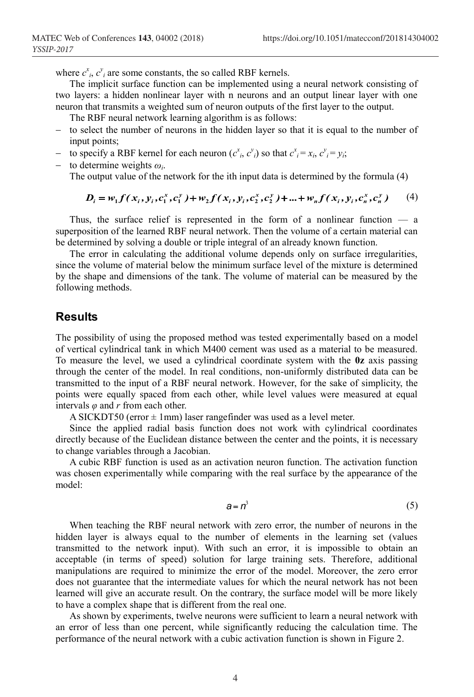where  $c^x_i$ ,  $c^y_i$  are some constants, the so called RBF kernels.

The implicit surface function can be implemented using a neural network consisting of two layers: a hidden nonlinear layer with n neurons and an output linear layer with one neuron that transmits a weighted sum of neuron outputs of the first layer to the output.

- The RBF neural network learning algorithm is as follows:
- $-$  to select the number of neurons in the hidden layer so that it is equal to the number of input points;
- to specify a RBF kernel for each neuron  $(c^x_i, c^y_i)$  so that  $c^x_i = x_i, c^y_i = y_i$ ;
- $\sim$  to determine weights  $\omega_i$ . The output value of the network for the ith input data is determined by the formula (4)

$$
D_i = w_1 f(x_i, y_i, c_1^x, c_1^y) + w_2 f(x_i, y_i, c_2^x, c_2^y) + ... + w_n f(x_i, y_i, c_n^x, c_n^y) \qquad (4)
$$

Thus, the surface relief is represented in the form of a nonlinear function  $\overline{\phantom{a}}$  a superposition of the learned RBF neural network. Then the volume of a certain material can be determined by solving a double or triple integral of an already known function.

The error in calculating the additional volume depends only on surface irregularities, since the volume of material below the minimum surface level of the mixture is determined by the shape and dimensions of the tank. The volume of material can be measured by the following methods.

#### **Results**

The possibility of using the proposed method was tested experimentally based on a model of vertical cylindrical tank in which M400 cement was used as a material to be measured. To measure the level, we used a cylindrical coordinate system with the **0z** axis passing through the center of the model. In real conditions, non-uniformly distributed data can be transmitted to the input of a RBF neural network. However, for the sake of simplicity, the points were equally spaced from each other, while level values were measured at equal intervals *φ* and *r* from each other.

A SICKDT50 (error  $\pm$  1mm) laser rangefinder was used as a level meter.

Since the applied radial basis function does not work with cylindrical coordinates directly because of the Euclidean distance between the center and the points, it is necessary to change variables through a Jacobian.

A cubic RBF function is used as an activation neuron function. The activation function was chosen experimentally while comparing with the real surface by the appearance of the model:

$$
a = n^3 \tag{5}
$$

When teaching the RBF neural network with zero error, the number of neurons in the hidden layer is always equal to the number of elements in the learning set (values transmitted to the network input). With such an error, it is impossible to obtain an acceptable (in terms of speed) solution for large training sets. Therefore, additional manipulations are required to minimize the error of the model. Moreover, the zero error does not guarantee that the intermediate values for which the neural network has not been learned will give an accurate result. On the contrary, the surface model will be more likely to have a complex shape that is different from the real one.

As shown by experiments, twelve neurons were sufficient to learn a neural network with an error of less than one percent, while significantly reducing the calculation time. The performance of the neural network with a cubic activation function is shown in Figure 2.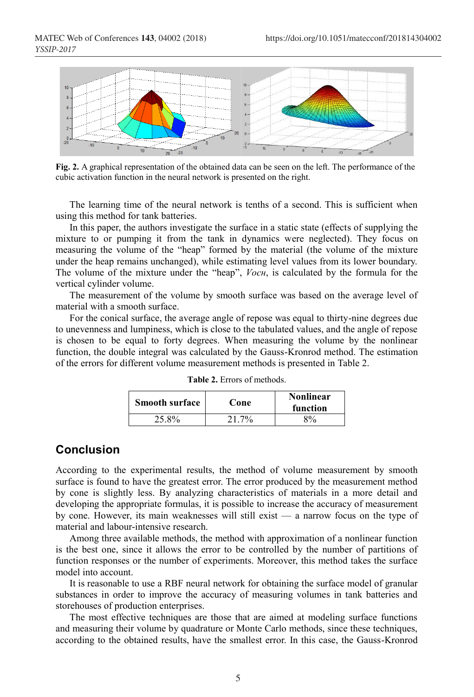

**Fig. 2.** A graphical representation of the obtained data can be seen on the left. The performance of the cubic activation function in the neural network is presented on the right.

The learning time of the neural network is tenths of a second. This is sufficient when using this method for tank batteries.

In this paper, the authors investigate the surface in a static state (effects of supplying the mixture to or pumping it from the tank in dynamics were neglected). They focus on measuring the volume of the "heap" formed by the material (the volume of the mixture under the heap remains unchanged), while estimating level values from its lower boundary. The volume of the mixture under the "heap", *Vосн*, is calculated by the formula for the vertical cylinder volume.

The measurement of the volume by smooth surface was based on the average level of material with a smooth surface.

For the conical surface, the average angle of repose was equal to thirty-nine degrees due to unevenness and lumpiness, which is close to the tabulated values, and the angle of repose is chosen to be equal to forty degrees. When measuring the volume by the nonlinear function, the double integral was calculated by the Gauss-Kronrod method. The estimation of the errors for different volume measurement methods is presented in Table 2.

| <b>Smooth surface</b> | Cone     | <b>Nonlinear</b><br>function |
|-----------------------|----------|------------------------------|
| 25.8%                 | $21.7\%$ | 8%                           |

**Table 2.** Errors of methods.

### **Conclusion**

According to the experimental results, the method of volume measurement by smooth surface is found to have the greatest error. The error produced by the measurement method by cone is slightly less. By analyzing characteristics of materials in a more detail and developing the appropriate formulas, it is possible to increase the accuracy of measurement by cone. However, its main weaknesses will still exist — a narrow focus on the type of material and labour-intensive research.

Among three available methods, the method with approximation of a nonlinear function is the best one, since it allows the error to be controlled by the number of partitions of function responses or the number of experiments. Moreover, this method takes the surface model into account.

It is reasonable to use a RBF neural network for obtaining the surface model of granular substances in order to improve the accuracy of measuring volumes in tank batteries and storehouses of production enterprises.

The most effective techniques are those that are aimed at modeling surface functions and measuring their volume by quadrature or Monte Carlo methods, since these techniques, according to the obtained results, have the smallest error. In this case, the Gauss-Kronrod